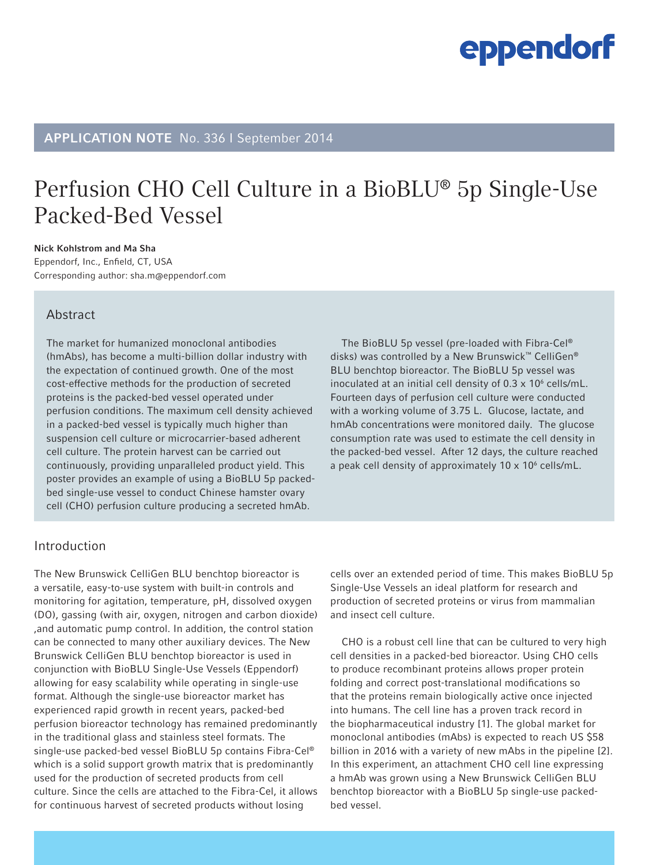### APPLICATION NOTE No. 336 I September 2014

### Perfusion CHO Cell Culture in a BioBLU® 5p Single-Use Packed-Bed Vessel

Nick Kohlstrom and Ma Sha Eppendorf, Inc., Enfield, CT, USA Corresponding author: sha.m@eppendorf.com

### Abstract

The market for humanized monoclonal antibodies (hmAbs), has become a multi-billion dollar industry with the expectation of continued growth. One of the most cost-effective methods for the production of secreted proteins is the packed-bed vessel operated under perfusion conditions. The maximum cell density achieved in a packed-bed vessel is typically much higher than suspension cell culture or microcarrier-based adherent cell culture. The protein harvest can be carried out continuously, providing unparalleled product yield. This poster provides an example of using a BioBLU 5p packedbed single-use vessel to conduct Chinese hamster ovary cell (CHO) perfusion culture producing a secreted hmAb.

The BioBLU 5p vessel (pre-loaded with Fibra-Cel® disks) was controlled by a New Brunswick™ CelliGen® BLU benchtop bioreactor. The BioBLU 5p vessel was inoculated at an initial cell density of  $0.3 \times 10^6$  cells/mL. Fourteen days of perfusion cell culture were conducted with a working volume of 3.75 L. Glucose, lactate, and hmAb concentrations were monitored daily. The glucose consumption rate was used to estimate the cell density in the packed-bed vessel. After 12 days, the culture reached a peak cell density of approximately  $10 \times 10^6$  cells/mL.

### Introduction

The New Brunswick CelliGen BLU benchtop bioreactor is a versatile, easy-to-use system with built-in controls and monitoring for agitation, temperature, pH, dissolved oxygen (DO), gassing (with air, oxygen, nitrogen and carbon dioxide) ,and automatic pump control. In addition, the control station can be connected to many other auxiliary devices. The New Brunswick CelliGen BLU benchtop bioreactor is used in conjunction with BioBLU Single-Use Vessels (Eppendorf) allowing for easy scalability while operating in single-use format. Although the single-use bioreactor market has experienced rapid growth in recent years, packed-bed perfusion bioreactor technology has remained predominantly in the traditional glass and stainless steel formats. The single-use packed-bed vessel BioBLU 5p contains Fibra-Cel® which is a solid support growth matrix that is predominantly used for the production of secreted products from cell culture. Since the cells are attached to the Fibra-Cel, it allows for continuous harvest of secreted products without losing

cells over an extended period of time. This makes BioBLU 5p Single-Use Vessels an ideal platform for research and production of secreted proteins or virus from mammalian and insect cell culture.

CHO is a robust cell line that can be cultured to very high cell densities in a packed-bed bioreactor. Using CHO cells to produce recombinant proteins allows proper protein folding and correct post-translational modifications so that the proteins remain biologically active once injected into humans. The cell line has a proven track record in the biopharmaceutical industry [1]. The global market for monoclonal antibodies (mAbs) is expected to reach US \$58 billion in 2016 with a variety of new mAbs in the pipeline [2]. In this experiment, an attachment CHO cell line expressing a hmAb was grown using a New Brunswick CelliGen BLU benchtop bioreactor with a BioBLU 5p single-use packedbed vessel.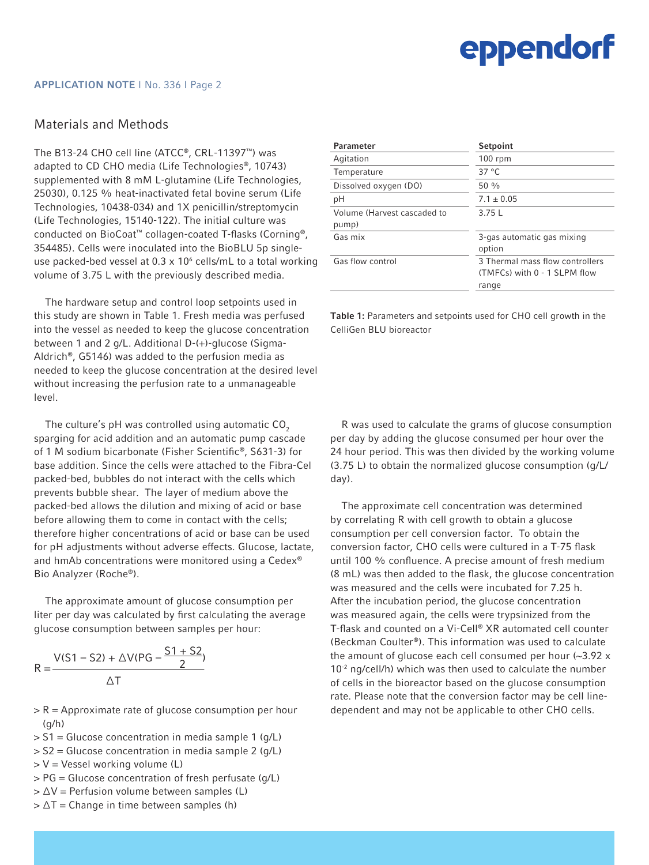### Materials and Methods

The B13-24 CHO cell line (ATCC®, CRL-11397™) was adapted to CD CHO media (Life Technologies®, 10743) supplemented with 8 mM L-glutamine (Life Technologies, 25030), 0.125 % heat-inactivated fetal bovine serum (Life Technologies, 10438-034) and 1X penicillin/streptomycin (Life Technologies, 15140-122). The initial culture was conducted on BioCoat™ collagen-coated T-flasks (Corning®, 354485). Cells were inoculated into the BioBLU 5p singleuse packed-bed vessel at  $0.3 \times 10^6$  cells/mL to a total working volume of 3.75 L with the previously described media.

The hardware setup and control loop setpoints used in this study are shown in Table 1. Fresh media was perfused into the vessel as needed to keep the glucose concentration between 1 and 2 g/L. Additional D-(+)-glucose (Sigma-Aldrich®, G5146) was added to the perfusion media as needed to keep the glucose concentration at the desired level without increasing the perfusion rate to a unmanageable level.

The culture's pH was controlled using automatic  $CO<sub>2</sub>$ sparging for acid addition and an automatic pump cascade of 1 M sodium bicarbonate (Fisher Scientific®, S631-3) for base addition. Since the cells were attached to the Fibra-Cel packed-bed, bubbles do not interact with the cells which prevents bubble shear. The layer of medium above the packed-bed allows the dilution and mixing of acid or base before allowing them to come in contact with the cells; therefore higher concentrations of acid or base can be used for pH adjustments without adverse effects. Glucose, lactate, and hmAb concentrations were monitored using a Cedex® Bio Analyzer (Roche®).

The approximate amount of glucose consumption per liter per day was calculated by first calculating the average glucose consumption between samples per hour:

$$
R = \frac{V(S1 - S2) + \Delta V(PG - \frac{S1 + S2}{2})}{\Delta T}
$$

- $>$  R = Approximate rate of glucose consumption per hour  $(q/h)$
- > S1 = Glucose concentration in media sample 1 (g/L)
- > S2 = Glucose concentration in media sample 2 (g/L)
- $>$  V = Vessel working volume (L)
- > PG = Glucose concentration of fresh perfusate (g/L)
- > ∆V = Perfusion volume between samples (L) > ∆T = Change in time between samples (h)

Parameter Setpoint Agitation 100 rpm Temperature 37 °C Dissolved oxygen (DO) 50 % pH 7.1 ± 0.05 Volume (Harvest cascaded to pump)  $3.75 L$ Gas mix **3**-gas automatic gas mixing option Gas flow control 3 Thermal mass flow controllers (TMFCs) with 0 - 1 SLPM flow range

Table 1: Parameters and setpoints used for CHO cell growth in the CelliGen BLU bioreactor

R was used to calculate the grams of glucose consumption per day by adding the glucose consumed per hour over the 24 hour period. This was then divided by the working volume (3.75 L) to obtain the normalized glucose consumption (g/L/ day).

The approximate cell concentration was determined by correlating R with cell growth to obtain a glucose consumption per cell conversion factor. To obtain the conversion factor, CHO cells were cultured in a T-75 flask until 100 % confluence. A precise amount of fresh medium (8 mL) was then added to the flask, the glucose concentration was measured and the cells were incubated for 7.25 h. After the incubation period, the glucose concentration was measured again, the cells were trypsinized from the T-flask and counted on a Vi-Cell® XR automated cell counter (Beckman Coulter®). This information was used to calculate the amount of glucose each cell consumed per hour (~3.92 x  $10<sup>-2</sup>$  ng/cell/h) which was then used to calculate the number of cells in the bioreactor based on the glucose consumption rate. Please note that the conversion factor may be cell linedependent and may not be applicable to other CHO cells.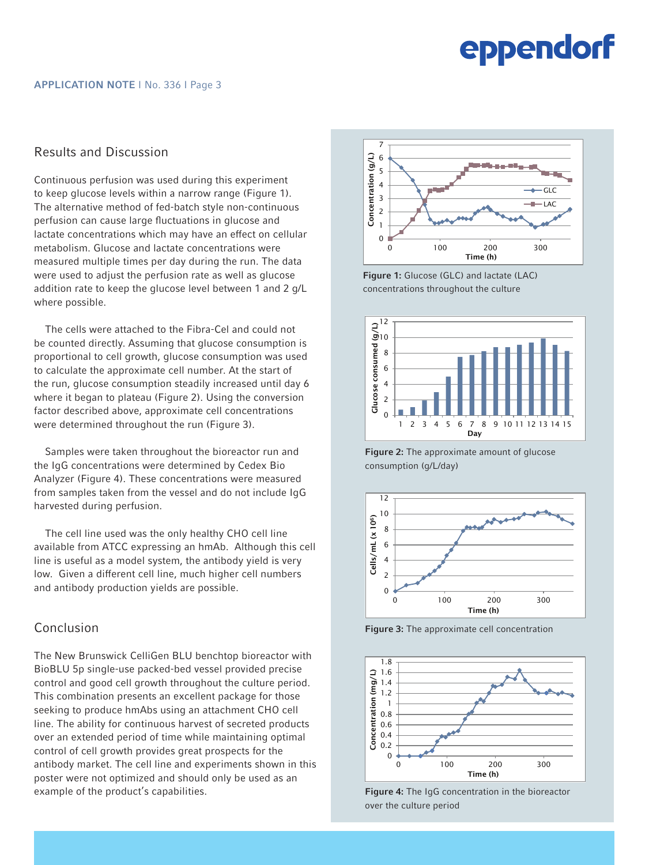### Results and Discussion

Continuous perfusion was used during this experiment to keep glucose levels within a narrow range (Figure 1). The alternative method of fed-batch style non-continuous perfusion can cause large fluctuations in glucose and lactate concentrations which may have an effect on cellular metabolism. Glucose and lactate concentrations were measured multiple times per day during the run. The data were used to adjust the perfusion rate as well as glucose addition rate to keep the glucose level between 1 and 2 g/L where possible.

The cells were attached to the Fibra-Cel and could not be counted directly. Assuming that glucose consumption is proportional to cell growth, glucose consumption was used to calculate the approximate cell number. At the start of the run, glucose consumption steadily increased until day 6 where it began to plateau (Figure 2). Using the conversion factor described above, approximate cell concentrations were determined throughout the run (Figure 3).

Samples were taken throughout the bioreactor run and the IgG concentrations were determined by Cedex Bio Analyzer (Figure 4). These concentrations were measured from samples taken from the vessel and do not include IgG harvested during perfusion.

The cell line used was the only healthy CHO cell line available from ATCC expressing an hmAb. Although this cell line is useful as a model system, the antibody yield is very low. Given a different cell line, much higher cell numbers and antibody production yields are possible.

### Conclusion

The New Brunswick CelliGen BLU benchtop bioreactor with BioBLU 5p single-use packed-bed vessel provided precise control and good cell growth throughout the culture period. This combination presents an excellent package for those seeking to produce hmAbs using an attachment CHO cell line. The ability for continuous harvest of secreted products over an extended period of time while maintaining optimal control of cell growth provides great prospects for the antibody market. The cell line and experiments shown in this poster were not optimized and should only be used as an example of the product's capabilities.



Figure 1: Glucose (GLC) and lactate (LAC) concentrations throughout the culture



Figure 2: The approximate amount of glucose consumption (g/L/day)



Figure 3: The approximate cell concentration



Figure 4: The IgG concentration in the bioreactor over the culture period